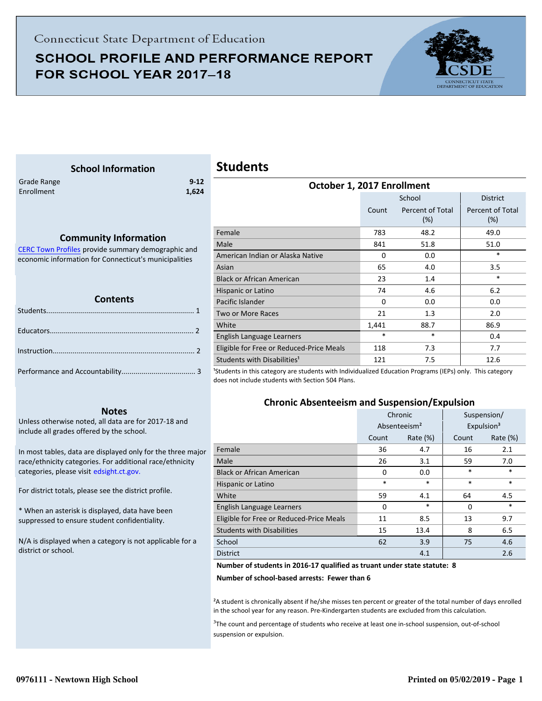## **SCHOOL PROFILE AND PERFORMANCE REPORT** FOR SCHOOL YEAR 2017-18



## **School Information**

Enrollment **1,624**

<span id="page-0-0"></span>Grade Range **9-12**

#### **Community Information**

[CERC Town Profiles provide summary demographic and](http://www.cerc.com/townprofiles/) economic information for Connecticut's municipalities

#### **Contents**

#### **Notes**

Unless otherwise noted, all data are for 2017-18 and include all grades offered by the school.

[In most tables, data are displayed only for the three major](http://edsight.ct.gov/) race/ethnicity categories. For additional race/ethnicity categories, please visit edsight.ct.gov.

For district totals, please see the district profile.

\* When an asterisk is displayed, data have been suppressed to ensure student confidentiality.

N/A is displayed when a category is not applicable for a district or school.

## **Students**

| OCTODER 1, ZUT / ENFOIIMENT              |          |                         |                         |  |
|------------------------------------------|----------|-------------------------|-------------------------|--|
|                                          |          | School                  | <b>District</b>         |  |
|                                          | Count    | Percent of Total<br>(%) | Percent of Total<br>(%) |  |
| Female                                   | 783      | 48.2                    | 49.0                    |  |
| Male                                     | 841      | 51.8                    | 51.0                    |  |
| American Indian or Alaska Native         | $\Omega$ | 0.0                     | $\ast$                  |  |
| Asian                                    | 65       | 4.0                     | 3.5                     |  |
| <b>Black or African American</b>         | 23       | 1.4                     | *                       |  |
| Hispanic or Latino                       | 74       | 4.6                     | 6.2                     |  |
| Pacific Islander                         | 0        | 0.0                     | 0.0                     |  |
| Two or More Races                        | 21       | 1.3                     | 2.0                     |  |
| White                                    | 1,441    | 88.7                    | 86.9                    |  |
| English Language Learners                | $\ast$   | *                       | 0.4                     |  |
| Eligible for Free or Reduced-Price Meals | 118      | 7.3                     | 7.7                     |  |
| Students with Disabilities <sup>1</sup>  | 121      | 7.5                     | 12.6                    |  |
|                                          |          |                         | $\lambda = 1$           |  |

**October 1, 2017 Enrollment**

<sup>1</sup>Students in this category are students with Individualized Education Programs (IEPs) only. This category does not include students with Section 504 Plans.

#### **Chronic Absenteeism and Suspension/Expulsion**

|                                          | Chronic     |                          | Suspension/ |                        |
|------------------------------------------|-------------|--------------------------|-------------|------------------------|
|                                          |             | Absenteeism <sup>2</sup> |             | Expulsion <sup>3</sup> |
|                                          | Count       | Rate $(\%)$              | Count       | Rate (%)               |
| Female                                   | 36          | 4.7                      | 16          | 2.1                    |
| Male                                     | 26          | 3.1                      | 59          | 7.0                    |
| <b>Black or African American</b>         | $\Omega$    | 0.0                      | $\ast$      | $\ast$                 |
| Hispanic or Latino                       | *<br>$\ast$ |                          | $\ast$      | $\ast$                 |
| White                                    | 59<br>4.1   |                          | 64          | 4.5                    |
| English Language Learners                | 0           | *                        | $\Omega$    | $\ast$                 |
| Eligible for Free or Reduced-Price Meals | 11          | 8.5                      | 13          | 9.7                    |
| <b>Students with Disabilities</b>        | 15          | 13.4                     | 8           | 6.5                    |
| School                                   | 62          | 3.9                      | 75          | 4.6                    |
| <b>District</b>                          |             | 4.1                      |             | 2.6                    |

**Number of students in 2016-17 qualified as truant under state statute: 8**

**Number of school-based arrests: Fewer than 6**

²A student is chronically absent if he/she misses ten percent or greater of the total number of days enrolled in the school year for any reason. Pre-Kindergarten students are excluded from this calculation.

<sup>3</sup>The count and percentage of students who receive at least one in-school suspension, out-of-school suspension or expulsion.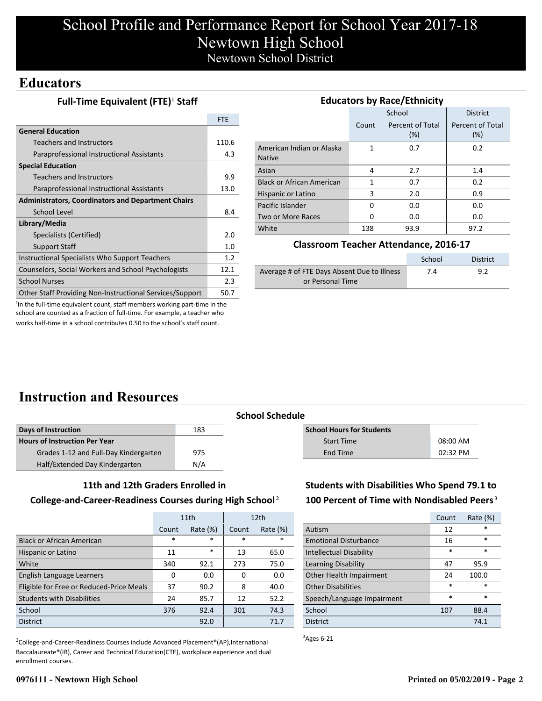## **Educators**

#### **Full-Time Equivalent (FTE)<sup>1</sup> Staff**

|                                                           | <b>FTE</b> |
|-----------------------------------------------------------|------------|
| <b>General Education</b>                                  |            |
| Teachers and Instructors                                  | 110.6      |
| Paraprofessional Instructional Assistants                 | 4.3        |
| <b>Special Education</b>                                  |            |
| <b>Teachers and Instructors</b>                           | 9.9        |
| Paraprofessional Instructional Assistants                 | 13.0       |
| <b>Administrators, Coordinators and Department Chairs</b> |            |
| School Level                                              | 8.4        |
| Library/Media                                             |            |
| Specialists (Certified)                                   | 2.0        |
| <b>Support Staff</b>                                      | 1.0        |
| Instructional Specialists Who Support Teachers            | 1.2        |
| Counselors, Social Workers and School Psychologists       | 12.1       |
| <b>School Nurses</b>                                      | 2.3        |
| Other Staff Providing Non-Instructional Services/Support  | 50.7       |

| <b>Educators by Race/Ethnicity</b>         |       |                         |                         |  |
|--------------------------------------------|-------|-------------------------|-------------------------|--|
|                                            |       | School                  | <b>District</b>         |  |
|                                            | Count | Percent of Total<br>(%) | Percent of Total<br>(%) |  |
| American Indian or Alaska<br><b>Native</b> | 1     | 0.7                     | 0.2                     |  |
| Asian                                      | 4     | 2.7                     | 1.4                     |  |
| <b>Black or African American</b>           | 1     | 0.7                     | 0.2                     |  |
| Hispanic or Latino                         | 3     | 2.0                     | 0.9                     |  |
| Pacific Islander                           | 0     | 0.0                     | 0.0                     |  |
| Two or More Races                          | O     | 0.0                     | 0.0                     |  |
| White                                      | 138   | 93.9                    | 97.2                    |  |

#### **Classroom Teacher Attendance, 2016-17**

|                                             | School | District |
|---------------------------------------------|--------|----------|
| Average # of FTE Days Absent Due to Illness | 7.4    | 9.2      |
| or Personal Time                            |        |          |

<sup>1</sup>In the full-time equivalent count, staff members working part-time in the school are counted as a fraction of full-time. For example, a teacher who works half-time in a school contributes 0.50 to the school's staff count.

# **Instruction and Resources**

| <b>Days of Instruction</b>            | 183 |
|---------------------------------------|-----|
| <b>Hours of Instruction Per Year</b>  |     |
| Grades 1-12 and Full-Day Kindergarten | 975 |
| Half/Extended Day Kindergarten        | N/A |

#### **School Schedule**

| <b>School Hours for Students</b> |            |
|----------------------------------|------------|
| <b>Start Time</b>                | $08:00$ AM |
| End Time                         | $02:32$ PM |

#### **11th and 12th Graders Enrolled in**

#### **College-and-Career-Readiness Courses during High School**²

|                                          | 11th   |             |        | 12 <sub>th</sub> |
|------------------------------------------|--------|-------------|--------|------------------|
|                                          | Count  | Rate $(\%)$ | Count  | Rate $(\%)$      |
| <b>Black or African American</b>         | $\ast$ | $\ast$      | $\ast$ | $\ast$           |
| Hispanic or Latino                       | 11     | $\ast$      | 13     | 65.0             |
| White                                    | 340    | 92.1        | 273    | 75.0             |
| English Language Learners                | 0      | 0.0         | 0      | 0.0              |
| Eligible for Free or Reduced-Price Meals | 37     | 90.2        | 8      | 40.0             |
| <b>Students with Disabilities</b>        | 24     | 85.7        | 12     | 52.2             |
| School                                   | 376    | 92.4        | 301    | 74.3             |
| <b>District</b>                          |        | 92.0        |        | 71.7             |

<sup>2</sup>College-and-Career-Readiness Courses include Advanced Placement®(AP),International Baccalaureate®(IB), Career and Technical Education(CTE), workplace experience and dual enrollment courses.

### **Students with Disabilities Who Spend 79.1 to** 100 Percent of Time with Nondisabled Peers<sup>3</sup>

|                              | Count  | Rate $(\%)$ |
|------------------------------|--------|-------------|
| Autism                       | 12     | $\star$     |
| <b>Emotional Disturbance</b> | 16     | $\ast$      |
| Intellectual Disability      | $\ast$ | $\ast$      |
| Learning Disability          | 47     | 95.9        |
| Other Health Impairment      | 24     | 100.0       |
| <b>Other Disabilities</b>    | $\ast$ | $\ast$      |
| Speech/Language Impairment   | $\ast$ | $\ast$      |
| School                       | 107    | 88.4        |
| <b>District</b>              |        | 74.1        |

 $3$ Ages 6-21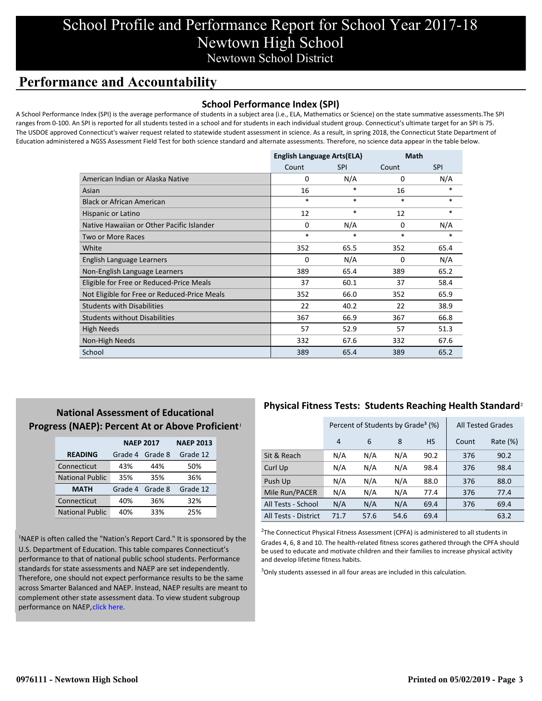## **Performance and Accountability**

#### **School Performance Index (SPI)**

A School Performance Index (SPI) is the average performance of students in a subject area (i.e., ELA, Mathematics or Science) on the state summative assessments.The SPI ranges from 0-100. An SPI is reported for all students tested in a school and for students in each individual student group. Connecticut's ultimate target for an SPI is 75. The USDOE approved Connecticut's waiver request related to statewide student assessment in science. As a result, in spring 2018, the Connecticut State Department of Education administered a NGSS Assessment Field Test for both science standard and alternate assessments. Therefore, no science data appear in the table below.

|                                              | <b>English Language Arts(ELA)</b> |            | Math     |            |
|----------------------------------------------|-----------------------------------|------------|----------|------------|
|                                              | Count                             | <b>SPI</b> | Count    | <b>SPI</b> |
| American Indian or Alaska Native             | 0                                 | N/A        | 0        | N/A        |
| Asian                                        | 16                                | $\ast$     | 16       | $\ast$     |
| <b>Black or African American</b>             | $\ast$                            | $\ast$     | $\ast$   | *          |
| Hispanic or Latino                           | 12                                | $\ast$     | 12       | *          |
| Native Hawaiian or Other Pacific Islander    | $\Omega$                          | N/A        | $\Omega$ | N/A        |
| Two or More Races                            | $\ast$                            | $\ast$     | $\ast$   | *          |
| White                                        | 352                               | 65.5       | 352      | 65.4       |
| English Language Learners                    | $\Omega$                          | N/A        | $\Omega$ | N/A        |
| Non-English Language Learners                | 389                               | 65.4       | 389      | 65.2       |
| Eligible for Free or Reduced-Price Meals     | 37                                | 60.1       | 37       | 58.4       |
| Not Eligible for Free or Reduced-Price Meals | 352                               | 66.0       | 352      | 65.9       |
| <b>Students with Disabilities</b>            | 22                                | 40.2       | 22       | 38.9       |
| <b>Students without Disabilities</b>         | 367                               | 66.9       | 367      | 66.8       |
| <b>High Needs</b>                            | 57                                | 52.9       | 57       | 51.3       |
| Non-High Needs                               | 332                               | 67.6       | 332      | 67.6       |
| School                                       | 389                               | 65.4       | 389      | 65.2       |

### **National Assessment of Educational Progress (NAEP): Percent At or Above Proficient**<sup>1</sup>

|                        | <b>NAEP 2017</b> | <b>NAEP 2013</b> |          |
|------------------------|------------------|------------------|----------|
| <b>READING</b>         | Grade 4          | Grade 8          | Grade 12 |
| Connecticut            | 43%              | 44%              | 50%      |
| <b>National Public</b> | 35%              | 35%              | 36%      |
| <b>MATH</b>            | Grade 4          | Grade 8          | Grade 12 |
| Connecticut            | 40%              | 36%              | 32%      |
| <b>National Public</b> | 40%              | 33%              | 25%      |

<sup>1</sup>NAEP is often called the "Nation's Report Card." It is sponsored by the U.S. Department of Education. This table compares Connecticut's performance to that of national public school students. Performance standards for state assessments and NAEP are set independently. Therefore, one should not expect performance results to be the same [across Smarter Balanced and NAEP. Instead, NAEP results are meant to](https://portal.ct.gov/-/media/SDE/Student-Assessment/NAEP/report-card_NAEP-2017.pdf?la=en) complement other state assessment data. To view student subgroup performance on NAEP, click here.

### **Physical Fitness Tests: Students Reaching Health Standard**²

|                      | Percent of Students by Grade <sup>3</sup> (%) |      |      |           |       | <b>All Tested Grades</b> |
|----------------------|-----------------------------------------------|------|------|-----------|-------|--------------------------|
|                      | 4                                             | 6    | 8    | <b>HS</b> | Count | Rate (%)                 |
| Sit & Reach          | N/A                                           | N/A  | N/A  | 90.2      | 376   | 90.2                     |
| Curl Up              | N/A                                           | N/A  | N/A  | 98.4      | 376   | 98.4                     |
| Push Up              | N/A                                           | N/A  | N/A  | 88.0      | 376   | 88.0                     |
| Mile Run/PACER       | N/A                                           | N/A  | N/A  | 77.4      | 376   | 77.4                     |
| All Tests - School   | N/A                                           | N/A  | N/A  | 69.4      | 376   | 69.4                     |
| All Tests - District | 71.7                                          | 57.6 | 54.6 | 69.4      |       | 63.2                     |

 $2$ The Connecticut Physical Fitness Assessment (CPFA) is administered to all students in Grades 4, 6, 8 and 10. The health-related fitness scores gathered through the CPFA should be used to educate and motivate children and their families to increase physical activity and develop lifetime fitness habits.

 $3$ Only students assessed in all four areas are included in this calculation.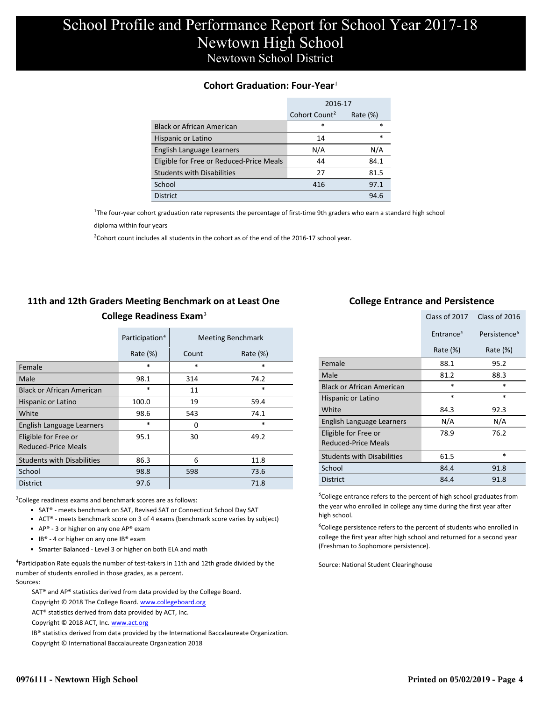#### **Cohort Graduation: Four-Year**<sup>1</sup>

|                                          | 2016-17                   |             |
|------------------------------------------|---------------------------|-------------|
|                                          | Cohort Count <sup>2</sup> | Rate $(\%)$ |
| <b>Black or African American</b>         | *                         | $\ast$      |
| Hispanic or Latino                       | 14                        | $\ast$      |
| English Language Learners                | N/A                       | N/A         |
| Eligible for Free or Reduced-Price Meals | 44                        | 84.1        |
| <b>Students with Disabilities</b>        | 27                        | 81.5        |
| School                                   | 416                       | 97.1        |
| <b>District</b>                          |                           | 94.6        |

<sup>1</sup>The four-year cohort graduation rate represents the percentage of first-time 9th graders who earn a standard high school

[diploma within four years.](http://www.sde.ct.gov/sde/cwp/view.asp?a=2758&q=334898)

 $2$ Cohort count includes all students in the cohort as of the end of the 2016-17 school year.

### **11th and 12th Graders Meeting Benchmark on at Least One College Readiness Exam**³

|                                             | Participation <sup>4</sup> |        | <b>Meeting Benchmark</b> |
|---------------------------------------------|----------------------------|--------|--------------------------|
|                                             | Rate $(\%)$                | Count  | Rate $(\%)$              |
| Female                                      | $\ast$                     | $\ast$ | $\ast$                   |
| Male                                        | 98.1                       | 314    | 74.2                     |
| <b>Black or African American</b>            | $\ast$                     | 11     | $\ast$                   |
| Hispanic or Latino                          | 100.0                      | 19     | 59.4                     |
| White                                       | 98.6                       | 543    | 74.1                     |
| English Language Learners                   | $\ast$                     | 0      | $\ast$                   |
| Eligible for Free or<br>Reduced-Price Meals | 95.1                       | 30     | 49.2                     |
| <b>Students with Disabilities</b>           | 86.3                       | 6      | 11.8                     |
| School                                      | 98.8                       | 598    | 73.6                     |
| <b>District</b>                             | 97.6                       |        | 71.8                     |

 $3$ College readiness exams and benchmark scores are as follows:

- SAT® meets benchmark on SAT, Revised SAT or Connecticut School Day SAT
- ACT® meets benchmark score on 3 of 4 exams (benchmark score varies by subject)
- AP® 3 or higher on any one  $AP^®$  exam
- IB® 4 or higher on any one IB® exam
- Smarter Balanced Level 3 or higher on both ELA and math

 $4$ Participation Rate equals the number of test-takers in 11th and 12th grade divided by the number of students enrolled in those grades, as a percent. Sources:

SAT® and AP® statistics derived from data provided by the College Board.

Copyright © 2018 The College Board. www.collegeboard.org

ACT® statistics derived from data provided by ACT, Inc.

Copyright © 2018 ACT, Inc. www.act.org

IB® statistics derived from data provided by the International Baccalaureate Organization.

Copyright © International Baccalaureate Organization 2018

#### **College Entrance and Persistence**

|                                             | Class of 2017         | Class of 2016            |
|---------------------------------------------|-----------------------|--------------------------|
|                                             | Entrance <sup>5</sup> | Persistence <sup>6</sup> |
|                                             | Rate $(\%)$           | Rate (%)                 |
| Female                                      | 88.1                  | 95.2                     |
| Male                                        | 81.2                  | 88.3                     |
| <b>Black or African American</b>            | $\ast$                | $\ast$                   |
| Hispanic or Latino                          | $\ast$                | *                        |
| White                                       | 84.3                  | 92.3                     |
| English Language Learners                   | N/A                   | N/A                      |
| Eligible for Free or<br>Reduced-Price Meals | 78.9                  | 76.2                     |
| <b>Students with Disabilities</b>           | 61.5                  | *                        |
| School                                      | 84.4                  | 91.8                     |
| <b>District</b>                             | 84.4                  | 91.8                     |

⁵College entrance refers to the percent of high school graduates from the year who enrolled in college any time during the first year after high school.

⁶College persistence refers to the percent of students who enrolled in college the first year after high school and returned for a second year (Freshman to Sophomore persistence).

Source: National Student Clearinghouse